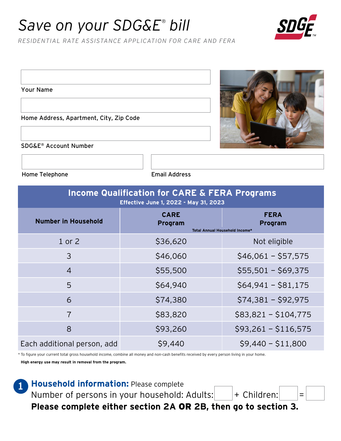# *Save on your SDG&E® bill*

*RESIDENTIAL RATE ASSISTANCE APPLICATION FOR CARE AND FERA*



Your Name

Home Address, Apartment, City, Zip Code

SDG&E® Account Number



Home Telephone **Email Address** 

### **Income Qualification for CARE & FERA Programs Effective June 1, 2022 - May 31, 2023**

| <b>Number in Household</b>  | <b>CARE</b><br>Program | <b>FERA</b><br>Program<br>Total Annual Household Income* |
|-----------------------------|------------------------|----------------------------------------------------------|
| 1 or 2                      | \$36,620               | Not eligible                                             |
| 3                           | \$46,060               | $$46,061 - $57,575$                                      |
| $\overline{4}$              | \$55,500               | $$55,501 - $69,375$                                      |
| 5                           | \$64,940               | $$64,941 - $81,175$                                      |
| 6                           | \$74,380               | $$74,381 - $92,975$                                      |
| $\overline{7}$              | \$83,820               | $$83,821 - $104,775$                                     |
| 8                           | \$93,260               | $$93,261 - $116,575$                                     |
| Each additional person, add | \$9,440                | $$9,440 - $11,800$                                       |

\* To figure your current total gross household income, combine all money and non-cash benefits received by every person living in your home. **High energy use may result in removal from the program.**

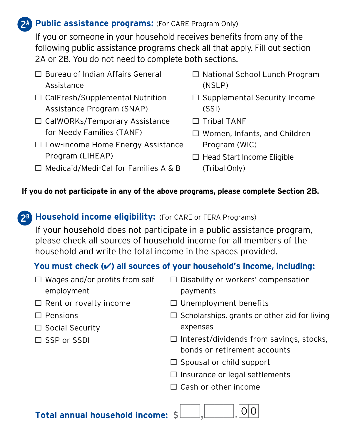#### **2A Public assistance programs:** (For CARE Program Only)

If you or someone in your household receives benefits from any of the following public assistance programs check all that apply. Fill out section 2A or 2B. You do not need to complete both sections.

- $\Box$  Bureau of Indian Affairs General Assistance
- $\Box$  CalFresh/Supplemental Nutrition Assistance Program (SNAP)
- $\Box$  CalWORKs/Temporary Assistance for Needy Families (TANF)
- $\Box$  Low-income Home Energy Assistance Program (LIHEAP)
- $\Box$  Medicaid/Medi-Cal for Families A & B
- □ National School Lunch Program (NSLP)
- $\Box$  Supplemental Security Income (SSI)
- $\Box$  Tribal TANF
- $\Box$  Women, Infants, and Children Program (WIC)
- $\Box$  Head Start Income Eligible (Tribal Only)

## **If you do not participate in any of the above programs, please complete Section 2B.**

# **2B Household income eligibility:** (For CARE or FERA Programs)

If your household does not participate in a public assistance program, please check all sources of household income for all members of the household and write the total income in the spaces provided.

## **You must check (**✔**) all sources of your household's income, including:**

| Wages and/or profits from self<br>employment | $\Box$ Disability or workers' compensation<br>payments |
|----------------------------------------------|--------------------------------------------------------|
| $\Box$ Rent or royalty income                | $\Box$ Unemployment benefits                           |
| Pensions                                     | $\Box$ Scholarships, grants or other aid for living    |
| $\Box$ Social Security                       | expenses                                               |
| $\Box$ SSP or SSDI                           | $\Box$ Interest/dividends from savings, stocks,        |
|                                              | bonds or retirement accounts                           |
|                                              | $\Box$ Spousal or child support                        |
|                                              | $\Box$ Insurance or legal settlements                  |
|                                              | $\Box$ Cash or other income                            |
| <b>Total annual household income:</b>        |                                                        |